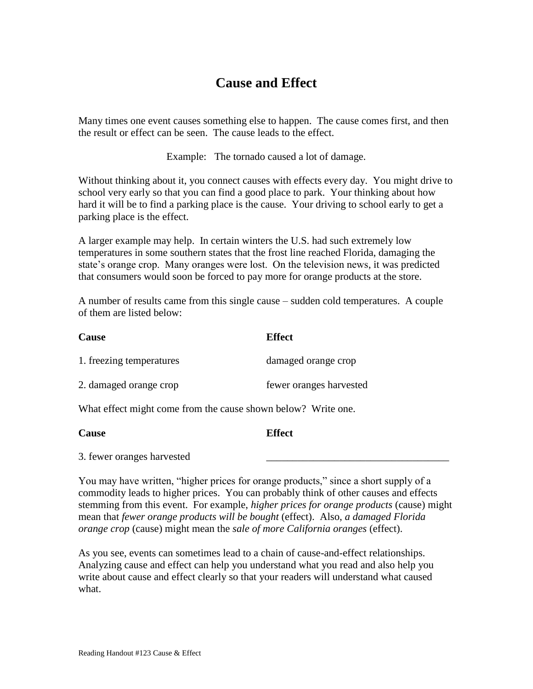# **Cause and Effect**

Many times one event causes something else to happen. The cause comes first, and then the result or effect can be seen. The cause leads to the effect.

Example: The tornado caused a lot of damage.

Without thinking about it, you connect causes with effects every day. You might drive to school very early so that you can find a good place to park. Your thinking about how hard it will be to find a parking place is the cause. Your driving to school early to get a parking place is the effect.

A larger example may help. In certain winters the U.S. had such extremely low temperatures in some southern states that the frost line reached Florida, damaging the state's orange crop. Many oranges were lost. On the television news, it was predicted that consumers would soon be forced to pay more for orange products at the store.

A number of results came from this single cause – sudden cold temperatures. A couple of them are listed below:

| <b>Cause</b>             | <b>Effect</b>           |
|--------------------------|-------------------------|
| 1. freezing temperatures | damaged orange crop     |
| 2. damaged orange crop   | fewer oranges harvested |

What effect might come from the cause shown below? Write one.

| <b>Cause</b>               | <b>Effect</b> |  |
|----------------------------|---------------|--|
| 3. fewer oranges harvested |               |  |

You may have written, "higher prices for orange products," since a short supply of a commodity leads to higher prices. You can probably think of other causes and effects stemming from this event. For example, *higher prices for orange products* (cause) might mean that *fewer orange products will be bought* (effect). Also, *a damaged Florida orange crop* (cause) might mean the *sale of more California oranges* (effect).

As you see, events can sometimes lead to a chain of cause-and-effect relationships. Analyzing cause and effect can help you understand what you read and also help you write about cause and effect clearly so that your readers will understand what caused what.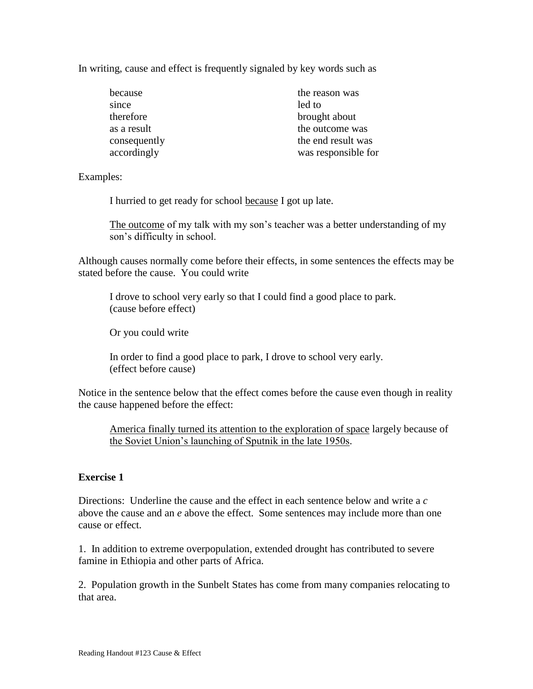In writing, cause and effect is frequently signaled by key words such as

| because      | the reason was      |
|--------------|---------------------|
| since        | led to              |
| therefore    | brought about       |
| as a result  | the outcome was     |
| consequently | the end result was  |
| accordingly  | was responsible for |

Examples:

I hurried to get ready for school because I got up late.

The outcome of my talk with my son's teacher was a better understanding of my son's difficulty in school.

Although causes normally come before their effects, in some sentences the effects may be stated before the cause. You could write

I drove to school very early so that I could find a good place to park. (cause before effect)

Or you could write

In order to find a good place to park, I drove to school very early. (effect before cause)

Notice in the sentence below that the effect comes before the cause even though in reality the cause happened before the effect:

America finally turned its attention to the exploration of space largely because of the Soviet Union's launching of Sputnik in the late 1950s.

# **Exercise 1**

Directions: Underline the cause and the effect in each sentence below and write a *c* above the cause and an *e* above the effect. Some sentences may include more than one cause or effect.

1. In addition to extreme overpopulation, extended drought has contributed to severe famine in Ethiopia and other parts of Africa.

2. Population growth in the Sunbelt States has come from many companies relocating to that area.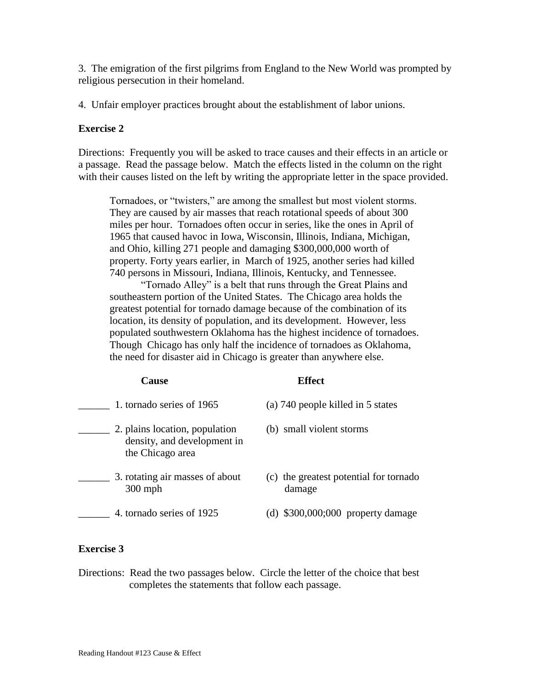3. The emigration of the first pilgrims from England to the New World was prompted by religious persecution in their homeland.

4. Unfair employer practices brought about the establishment of labor unions.

# **Exercise 2**

Directions: Frequently you will be asked to trace causes and their effects in an article or a passage. Read the passage below. Match the effects listed in the column on the right with their causes listed on the left by writing the appropriate letter in the space provided.

Tornadoes, or "twisters," are among the smallest but most violent storms. They are caused by air masses that reach rotational speeds of about 300 miles per hour. Tornadoes often occur in series, like the ones in April of 1965 that caused havoc in Iowa, Wisconsin, Illinois, Indiana, Michigan, and Ohio, killing 271 people and damaging \$300,000,000 worth of property. Forty years earlier, in March of 1925, another series had killed 740 persons in Missouri, Indiana, Illinois, Kentucky, and Tennessee.

"Tornado Alley" is a belt that runs through the Great Plains and southeastern portion of the United States. The Chicago area holds the greatest potential for tornado damage because of the combination of its location, its density of population, and its development. However, less populated southwestern Oklahoma has the highest incidence of tornadoes. Though Chicago has only half the incidence of tornadoes as Oklahoma, the need for disaster aid in Chicago is greater than anywhere else.

### **Cause Effect**

| 1. tornado series of 1965                                                         | (a) 740 people killed in 5 states                |
|-----------------------------------------------------------------------------------|--------------------------------------------------|
| 2. plains location, population<br>density, and development in<br>the Chicago area | (b) small violent storms                         |
| 3. rotating air masses of about<br>$300$ mph                                      | (c) the greatest potential for tornado<br>damage |
| 4. tornado series of 1925                                                         | $(d)$ \$300,000;000 property damage              |

# **Exercise 3**

Directions: Read the two passages below. Circle the letter of the choice that best completes the statements that follow each passage.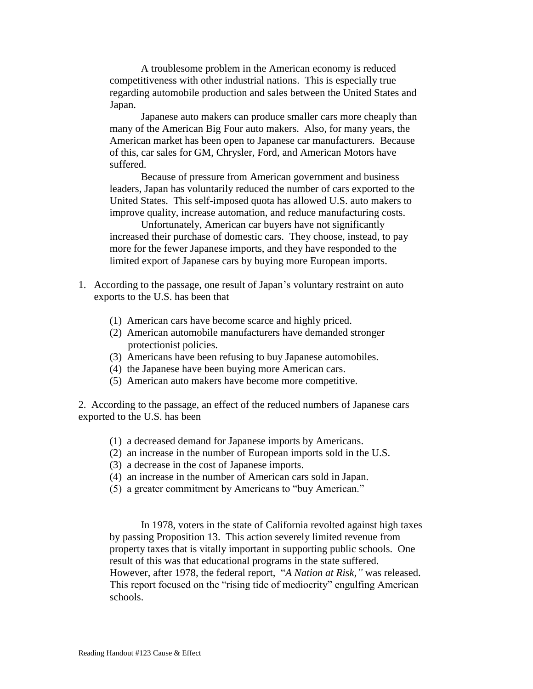A troublesome problem in the American economy is reduced competitiveness with other industrial nations. This is especially true regarding automobile production and sales between the United States and Japan.

Japanese auto makers can produce smaller cars more cheaply than many of the American Big Four auto makers. Also, for many years, the American market has been open to Japanese car manufacturers. Because of this, car sales for GM, Chrysler, Ford, and American Motors have suffered.

Because of pressure from American government and business leaders, Japan has voluntarily reduced the number of cars exported to the United States. This self-imposed quota has allowed U.S. auto makers to improve quality, increase automation, and reduce manufacturing costs.

Unfortunately, American car buyers have not significantly increased their purchase of domestic cars. They choose, instead, to pay more for the fewer Japanese imports, and they have responded to the limited export of Japanese cars by buying more European imports.

- 1. According to the passage, one result of Japan's voluntary restraint on auto exports to the U.S. has been that
	- (1) American cars have become scarce and highly priced.
	- (2) American automobile manufacturers have demanded stronger protectionist policies.
	- (3) Americans have been refusing to buy Japanese automobiles.
	- (4) the Japanese have been buying more American cars.
	- (5) American auto makers have become more competitive.

2. According to the passage, an effect of the reduced numbers of Japanese cars exported to the U.S. has been

- (1) a decreased demand for Japanese imports by Americans.
- (2) an increase in the number of European imports sold in the U.S.
- (3) a decrease in the cost of Japanese imports.
- (4) an increase in the number of American cars sold in Japan.
- (5) a greater commitment by Americans to "buy American."

In 1978, voters in the state of California revolted against high taxes by passing Proposition 13. This action severely limited revenue from property taxes that is vitally important in supporting public schools. One result of this was that educational programs in the state suffered. However, after 1978, the federal report, "*A Nation at Risk,"* was released. This report focused on the "rising tide of mediocrity" engulfing American schools.